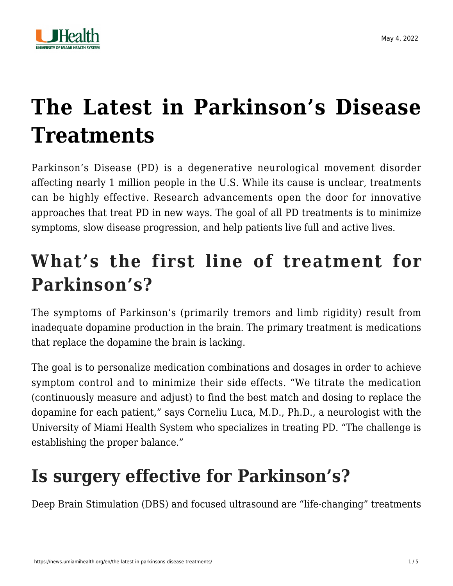

# **[The Latest in Parkinson's Disease](https://news.umiamihealth.org/en/the-latest-in-parkinsons-disease-treatments/) [Treatments](https://news.umiamihealth.org/en/the-latest-in-parkinsons-disease-treatments/)**

Parkinson's Disease (PD) is a degenerative neurological movement disorder affecting [nearly 1 million](https://www.parkinson.org/Understanding-Parkinsons/Statistics) people in the U.S. While its cause is unclear, treatments can be highly effective. Research advancements open the door for innovative approaches that treat PD in new ways. The goal of all PD treatments is to minimize symptoms, slow disease progression, and help patients live full and active lives.

# **What's the first line of treatment for Parkinson's?**

The symptoms of Parkinson's (primarily tremors and limb rigidity) result from inadequate dopamine production in the brain. The primary treatment is medications that replace the dopamine the brain is lacking.

The goal is to personalize medication combinations and dosages in order to achieve symptom control and to minimize their side effects. "We titrate the medication (continuously measure and adjust) to find the best match and dosing to replace the dopamine for each patient," says [Corneliu Luca, M.D., Ph.D.,](https://doctors.umiamihealth.org/provider/Corneliu+Luca/525302?_ga=2.25855613.1305827133.1648402605-1940541531.1506175809) a neurologist with the University of Miami Health System who specializes in treating PD. "The challenge is establishing the proper balance."

### **Is surgery effective for Parkinson's?**

Deep Brain Stimulation (DBS) and focused ultrasound are "life-changing" treatments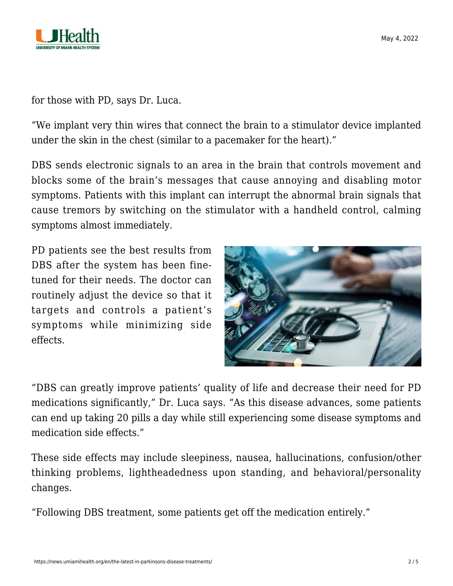

for those with PD, says Dr. Luca.

"We implant very thin wires that connect the brain to a stimulator device implanted under the skin in the chest (similar to a pacemaker for the heart)."

DBS sends electronic signals to an area in the brain that controls movement and blocks some of the brain's messages that cause annoying and disabling motor symptoms. Patients with this implant can interrupt the abnormal brain signals that cause tremors by switching on the stimulator with a handheld control, calming symptoms almost immediately.

PD patients see the best results from DBS after the system has been finetuned for their needs. The doctor can routinely adjust the device so that it targets and controls a patient's symptoms while minimizing side effects.



"DBS can greatly improve patients' quality of life and decrease their need for PD medications significantly," Dr. Luca says. "As this disease advances, some patients can end up taking 20 pills a day while still experiencing some disease symptoms and medication side effects."

These side effects may include sleepiness, nausea, hallucinations, confusion/other thinking problems, lightheadedness upon standing, and behavioral/personality changes.

"Following DBS treatment, some patients get off the medication entirely."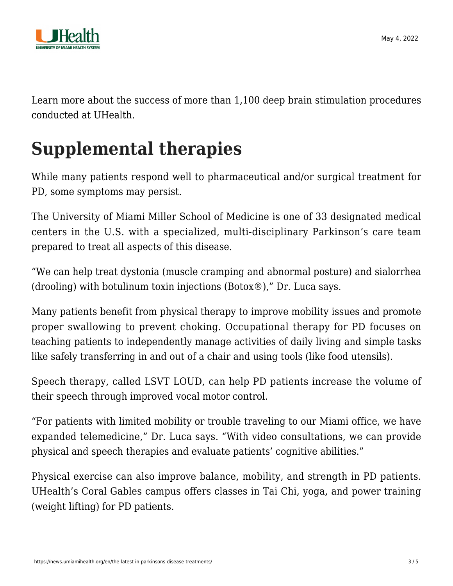

Learn more about the success of more than 1,100 [deep brain stimulation procedures](https://news.umiamihealth.org/en/deep-brain-stimulation-for-parkinsons-can-be-life-changing/) [conducted at UHealth](https://news.umiamihealth.org/en/deep-brain-stimulation-for-parkinsons-can-be-life-changing/).

# **Supplemental therapies**

While many patients respond well to pharmaceutical and/or surgical treatment for PD, some symptoms may persist.

The University of Miami Miller School of Medicine is one of 33 designated medical centers in the U.S. with a specialized, multi-disciplinary Parkinson's care team prepared to treat all aspects of this disease.

"We can help treat dystonia (muscle cramping and abnormal posture) and sialorrhea (drooling) with botulinum toxin injections (Botox®)," Dr. Luca says.

Many patients benefit from physical therapy to improve mobility issues and promote proper swallowing to prevent choking. Occupational therapy for PD focuses on teaching patients to independently manage activities of daily living and simple tasks like safely transferring in and out of a chair and using tools (like food utensils).

Speech therapy, called LSVT LOUD, can help PD patients increase the volume of their speech through improved vocal motor control.

"For patients with limited mobility or trouble traveling to our Miami office, we have expanded telemedicine," Dr. Luca says. "With video consultations, we can provide physical and speech therapies and evaluate patients' cognitive abilities."

Physical exercise can also improve balance, mobility, and strength in PD patients. UHealth's Coral Gables campus offers classes in Tai Chi, yoga, and power training (weight lifting) for PD patients.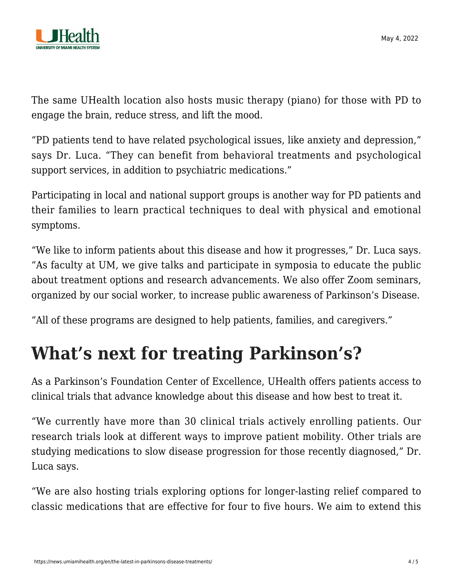

The same UHealth location also hosts music therapy (piano) for those with PD to engage the brain, reduce stress, and lift the mood.

"PD patients tend to have related psychological issues, like anxiety and depression," says Dr. Luca. "They can benefit from behavioral treatments and psychological support services, in addition to psychiatric medications."

Participating in local and national support groups is another way for PD patients and their families to learn practical techniques to deal with physical and emotional symptoms.

"We like to inform patients about this disease and how it progresses," Dr. Luca says. "As faculty at UM, we give talks and participate in symposia to educate the public about treatment options and research advancements. We also offer Zoom seminars, organized by our social worker, to increase public awareness of Parkinson's Disease.

"All of these programs are designed to help patients, families, and caregivers."

### **What's next for treating Parkinson's?**

As a Parkinson's Foundation Center of Excellence, UHealth offers patients access to clinical trials that advance knowledge about this disease and how best to treat it.

"We currently have more than 30 clinical trials actively enrolling patients. Our research trials look at different ways to improve patient mobility. Other trials are studying medications to slow disease progression for those recently diagnosed," Dr. Luca says.

"We are also hosting trials exploring options for longer-lasting relief compared to classic medications that are effective for four to five hours. We aim to extend this